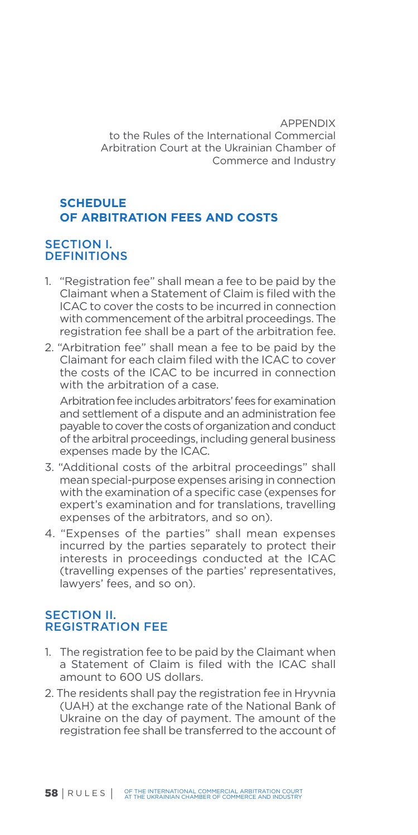APPENDIX to the Rules of the International Commercial Arbitration Court at the Ukrainian Chamber of Commerce and Industry

# **SCHEDULE OF ARBITRATION FEES AND COSTS**

## SECTION I. **DEFINITIONS**

- 1. "Registration fee" shall mean a fee to be paid by the Claimant when a Statement of Claim is filed with the ICAC to cover the costs to be incurred in connection with commencement of the arbitral proceedings. The registration fee shall be a part of the arbitration fee.
- 2. "Arbitration fee" shall mean a fee to be paid by the Claimant for each claim filed with the ICAC to cover the costs of the ICAC to be incurred in connection with the arbitration of a case.

Arbitration fee includes arbitrators' fees for examination and settlement of a dispute and an administration fee payable to cover the costs of organization and conduct of the arbitral proceedings, including general business expenses made by the ICAC.

- 3. "Additional costs of the arbitral proceedings" shall mean special-purpose expenses arising in connection with the examination of a specific case (expenses for expert's examination and for translations, travelling expenses of the arbitrators, and so on).
- 4. "Expenses of the parties" shall mean expenses incurred by the parties separately to protect their interests in proceedings conducted at the ICAC (travelling expenses of the parties' representatives, lawyers' fees, and so on).

### SECTION II. REGISTRATION FEE

- 1. The registration fee to be paid by the Claimant when a Statement of Claim is filed with the ICAC shall amount to 600 US dollars.
- 2. The residents shall pay the registration fee in Hryvnia (UAH) at the exchange rate of the National Bank of Ukraine on the day of payment. The amount of the registration fee shall be transferred to the account of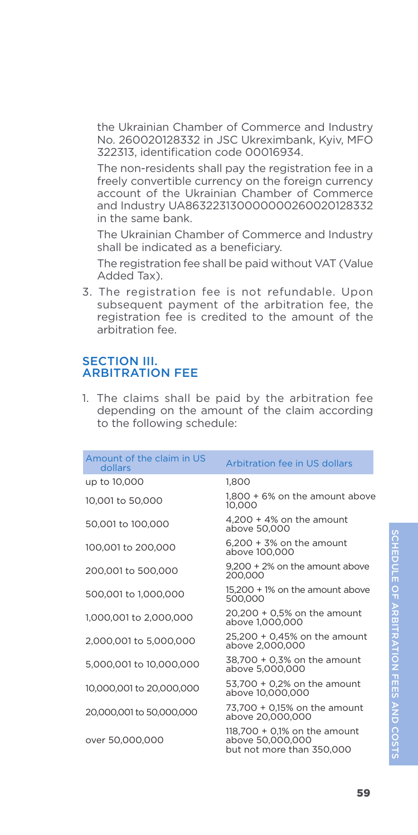The non-residents shall pay the registration fee in a freely convertible currency on the foreign currency account of the Ukrainian Chamber of Commerce and Industry UA863223130000000260020128332 in the same bank.

The Ukrainian Chamber of Commerce and Industry shall be indicated as a beneficiary.

The registration fee shall be paid without VAT (Value Added Tax).

3. The registration fee is not refundable. Upon subsequent payment of the arbitration fee, the registration fee is credited to the amount of the arbitration fee.

### SECTION III. ARBITRATION FEE

1. The claims shall be paid by the arbitration fee depending on the amount of the claim according to the following schedule:

| Amount of the claim in US<br>dollars | Arbitration fee in US dollars                                                   |
|--------------------------------------|---------------------------------------------------------------------------------|
| up to 10,000                         | 1.800                                                                           |
| 10,001 to 50,000                     | 1.800 + 6% on the amount above<br>10.000                                        |
| 50,001 to 100,000                    | $4,200 + 4\%$ on the amount<br>above 50,000                                     |
| 100,001 to 200,000                   | $6,200 + 3\%$ on the amount<br>above 100,000                                    |
| 200,001 to 500,000                   | 9.200 + 2% on the amount above<br>200.000                                       |
| 500,001 to 1,000,000                 | 15.200 + 1% on the amount above<br>500.000                                      |
| 1,000,001 to 2,000,000               | 20,200 + 0,5% on the amount<br>above 1,000,000                                  |
| 2,000,001 to 5,000,000               | 25,200 + 0,45% on the amount<br>above 2.000.000                                 |
| 5,000,001 to 10,000,000              | 38,700 + 0,3% on the amount<br>above 5.000.000                                  |
| 10,000,001 to 20,000,000             | 53,700 + 0,2% on the amount<br>above 10,000,000                                 |
| 20,000,001 to 50,000,000             | 73.700 + 0.15% on the amount<br>above 20.000.000                                |
| over 50,000,000                      | 118,700 $+$ 0,1% on the amount<br>above 50,000,000<br>but not more than 350.000 |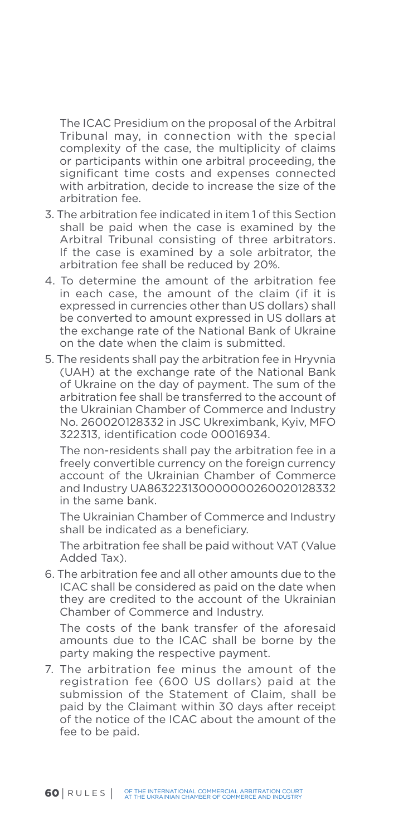The ICAC Presidium on the proposal of the Arbitral Tribunal may, in connection with the special complexity of the case, the multiplicity of claims or participants within one arbitral proceeding, the significant time costs and expenses connected with arbitration, decide to increase the size of the arbitration fee.

- 3. The arbitration fee indicated in item 1 of this Section shall be paid when the case is examined by the Arbitral Tribunal consisting of three arbitrators. If the case is examined by a sole arbitrator, the arbitration fee shall be reduced by 20%.
- 4. To determine the amount of the arbitration fee in each case, the amount of the claim (if it is expressed in currencies other than US dollars) shall be converted to amount expressed in US dollars at the exchange rate of the National Bank of Ukraine on the date when the claim is submitted.
- 5. The residents shall pay the arbitration fee in Hryvnia (UAH) at the exchange rate of the National Bank of Ukraine on the day of payment. The sum of the arbitration fee shall be transferred to the account of the Ukrainian Chamber of Commerce and Industry No. 260020128332 in JSC Ukreximbank, Kyiv, MFO 322313, identification code 00016934.

The non-residents shall pay the arbitration fee in a freely convertible currency on the foreign currency account of the Ukrainian Chamber of Commerce and Industry UA863223130000000260020128332 in the same bank.

The Ukrainian Chamber of Commerce and Industry shall be indicated as a beneficiary.

The arbitration fee shall be paid without VAT (Value Added Tax).

6. The arbitration fee and all other amounts due to the ICAC shall be considered as paid on the date when they are credited to the account of the Ukrainian Chamber of Commerce and Industry.

The costs of the bank transfer of the aforesaid amounts due to the ICAC shall be borne by the party making the respective payment.

7. The arbitration fee minus the amount of the registration fee (600 US dollars) paid at the submission of the Statement of Claim, shall be paid by the Claimant within 30 days after receipt of the notice of the ICAC about the amount of the fee to be paid.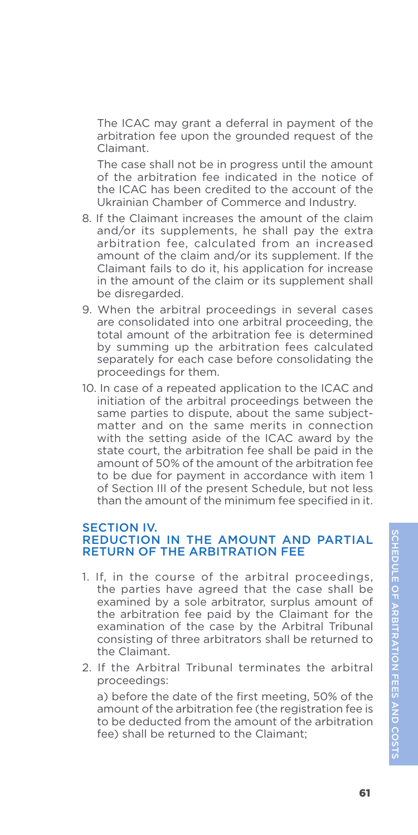The ICAC may grant a deferral in payment of the arbitration fee upon the grounded request of the Claimant.

The case shall not be in progress until the amount of the arbitration fee indicated in the notice of the ICAC has been credited to the account of the Ukrainian Chamber of Commerce and Industry.

- 8. If the Claimant increases the amount of the claim and/or its supplements, he shall pay the extra arbitration fee, calculated from an increased amount of the claim and/or its supplement. If the Claimant fails to do it, his application for increase in the amount of the claim or its supplement shall be disregarded.
- 9. When the arbitral proceedings in several cases are consolidated into one arbitral proceeding, the total amount of the arbitration fee is determined by summing up the arbitration fees calculated separately for each case before consolidating the proceedings for them.
- 10. In case of a repeated application to the ICAC and initiation of the arbitral proceedings between the same parties to dispute, about the same subjectmatter and on the same merits in connection with the setting aside of the ICAC award by the state court, the arbitration fee shall be paid in the amount of 50% of the amount of the arbitration fee to be due for payment in accordance with item 1 of Section III of the present Schedule, but not less than the amount of the minimum fee specified in it.

### SECTION IV. REDUCTION IN THE AMOUNT AND PARTIAL RETURN OF THE ARBITRATION FEE

- 1. If, in the course of the arbitral proceedings, the parties have agreed that the case shall be examined by a sole arbitrator, surplus amount of the arbitration fee paid by the Claimant for the examination of the case by the Arbitral Tribunal consisting of three arbitrators shall be returned to the Claimant.
- 2. If the Arbitral Tribunal terminates the arbitral proceedings:

a) before the date of the first meeting, 50% of the amount of the arbitration fee (the registration fee is to be deducted from the amount of the arbitration fee) shall be returned to the Claimant;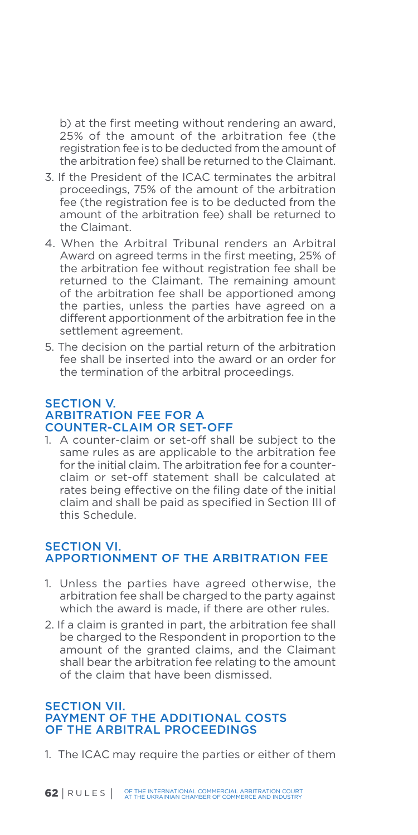b) at the first meeting without rendering an award, 25% of the amount of the arbitration fee (the registration fee is to be deducted from the amount of the arbitration fee) shall be returned to the Claimant.

- 3. If the President of the ICAC terminates the arbitral proceedings, 75% of the amount of the arbitration fee (the registration fee is to be deducted from the amount of the arbitration fee) shall be returned to the Claimant.
- 4. When the Arbitral Tribunal renders an Arbitral Award on agreed terms in the first meeting, 25% of the arbitration fee without registration fee shall be returned to the Claimant. The remaining amount of the arbitration fee shall be apportioned among the parties, unless the parties have agreed on a different apportionment of the arbitration fee in the settlement agreement.
- 5. The decision on the partial return of the arbitration fee shall be inserted into the award or an order for the termination of the arbitral proceedings.

### SECTION V. ARBITRATION FEE FOR A COUNTER-CLAIM OR SET-OFF

1. A counter-claim or set-off shall be subject to the same rules as are applicable to the arbitration fee for the initial claim. The arbitration fee for a counterclaim or set-off statement shall be calculated at rates being effective on the filing date of the initial claim and shall be paid as specified in Section III of this Schedule.

### SECTION VI. APPORTIONMENT OF THE ARBITRATION FEE

- 1. Unless the parties have agreed otherwise, the arbitration fee shall be charged to the party against which the award is made, if there are other rules.
- 2. If a claim is granted in part, the arbitration fee shall be charged to the Respondent in proportion to the amount of the granted claims, and the Claimant shall bear the arbitration fee relating to the amount of the claim that have been dismissed.

### **SECTION VII.** PAYMENT OF THE ADDITIONAL COSTS OF THE ARBITRAL PROCEEDINGS

1. The ICAC may require the parties or either of them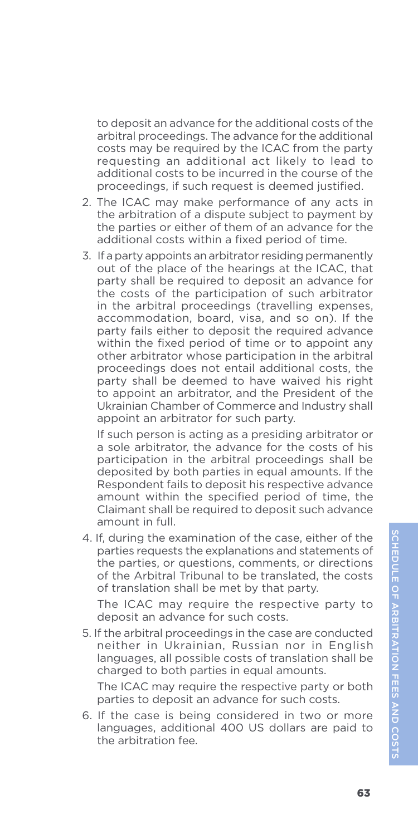to deposit an advance for the additional costs of the arbitral proceedings. The advance for the additional costs may be required by the ICAC from the party requesting an additional act likely to lead to additional costs to be incurred in the course of the proceedings, if such request is deemed justified.

- 2. The ICAC may make performance of any acts in the arbitration of a dispute subject to payment by the parties or either of them of an advance for the additional costs within a fixed period of time.
- 3. If a party appoints an arbitrator residing permanently out of the place of the hearings at the ICAC, that party shall be required to deposit an advance for the costs of the participation of such arbitrator in the arbitral proceedings (travelling expenses, accommodation, board, visa, and so on). If the party fails either to deposit the required advance within the fixed period of time or to appoint any other arbitrator whose participation in the arbitral proceedings does not entail additional costs, the party shall be deemed to have waived his right to appoint an arbitrator, and the President of the Ukrainian Chamber of Commerce and Industry shall appoint an arbitrator for such party.

If such person is acting as a presiding arbitrator or a sole arbitrator, the advance for the costs of his participation in the arbitral proceedings shall be deposited by both parties in equal amounts. If the Respondent fails to deposit his respective advance amount within the specified period of time, the Claimant shall be required to deposit such advance amount in full.

4. If, during the examination of the case, either of the parties requests the explanations and statements of the parties, or questions, comments, or directions of the Arbitral Tribunal to be translated, the costs of translation shall be met by that party.

The ICAC may require the respective party to deposit an advance for such costs.

5. If the arbitral proceedings in the case are conducted neither in Ukrainian, Russian nor in English languages, all possible costs of translation shall be charged to both parties in equal amounts.

The ICAC may require the respective party or both parties to deposit an advance for such costs.

6. If the case is being considered in two or more languages, additional 400 US dollars are paid to the arbitration fee.